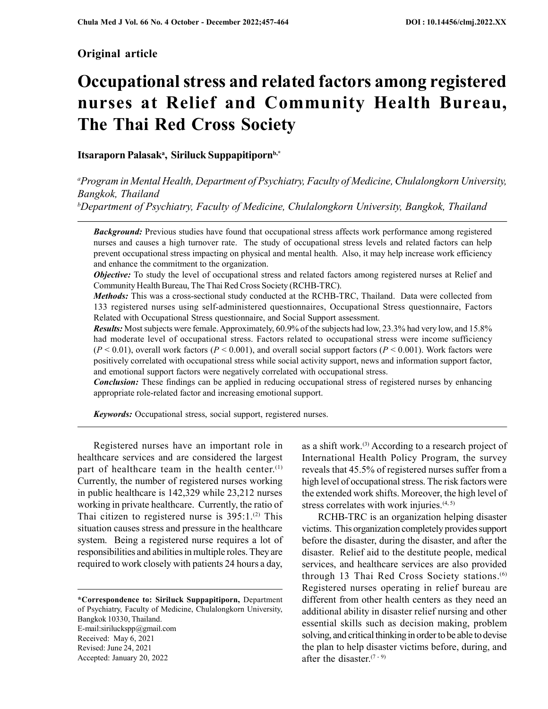# Original article

# Occupational stress and related factors among registered nurses at Relief and Community Health Bureau, The Thai Red Cross Society

# Itsaraporn Palasak<sup>a</sup>, Siriluck Suppapitiporn<sup>b,\*</sup>

<sup>a</sup>Program in Mental Health, Department of Psychiatry, Faculty of Medicine, Chulalongkorn University, Bangkok, Thailand  $b$ Department of Psychiatry, Faculty of Medicine, Chulalongkorn University, Bangkok, Thailand

**Background:** Previous studies have found that occupational stress affects work performance among registered nurses and causes a high turnover rate. The study of occupational stress levels and related factors can help prevent occupational stress impacting on physical and mental health. Also, it may help increase work efficiency and enhance the commitment to the organization.

**Objective:** To study the level of occupational stress and related factors among registered nurses at Relief and Community Health Bureau, The Thai Red Cross Society (RCHB-TRC).

Methods: This was a cross-sectional study conducted at the RCHB-TRC, Thailand. Data were collected from 133 registered nurses using self-administered questionnaires, Occupational Stress questionnaire, Factors Related with Occupational Stress questionnaire, and Social Support assessment.

Results: Most subjects were female. Approximately, 60.9% of the subjects had low, 23.3% had very low, and 15.8% had moderate level of occupational stress. Factors related to occupational stress were income sufficiency  $(P < 0.01)$ , overall work factors  $(P < 0.001)$ , and overall social support factors  $(P < 0.001)$ . Work factors were positively correlated with occupational stress while social activity support, news and information support factor, and emotional support factors were negatively correlated with occupational stress.

**Conclusion:** These findings can be applied in reducing occupational stress of registered nurses by enhancing appropriate role-related factor and increasing emotional support.

**Keywords:** Occupational stress, social support, registered nurses.

Registered nurses have an important role in healthcare services and are considered the largest part of healthcare team in the health center.<sup>(1)</sup> Currently, the number of registered nurses working in public healthcare is 142,329 while 23,212 nurses working in private healthcare. Currently, the ratio of Thai citizen to registered nurse is  $395:1.^{(2)}$  This situation causes stress and pressure in the healthcare system. Being a registered nurse requires a lot of responsibilities and abilities in multiple roles. They are required to work closely with patients 24 hours a day,

\*Correspondence to: Siriluck Suppapitiporn, Department of Psychiatry, Faculty of Medicine, Chulalongkorn University, Bangkok 10330, Thailand. E-mail:siriluckspp@gmail.com Received: May 6, 2021 Revised: June 24, 2021 Accepted: January 20, 2022

as a shift work.<sup>(3)</sup> According to a research project of International Health Policy Program, the survey reveals that 45.5% of registered nurses suffer from a high level of occupational stress. The risk factors were the extended work shifts. Moreover, the high level of stress correlates with work injuries.<sup>(4, 5)</sup>

RCHB-TRC is an organization helping disaster victims. This organization completely provides support before the disaster, during the disaster, and after the disaster. Relief aid to the destitute people, medical services, and healthcare services are also provided through 13 Thai Red Cross Society stations.<sup>(6)</sup> Registered nurses operating in relief bureau are different from other health centers as they need an additional ability in disaster relief nursing and other essential skills such as decision making, problem solving, and critical thinking in order to be able to devise the plan to help disaster victims before, during, and after the disaster.<sup> $(7 - 9)$ </sup>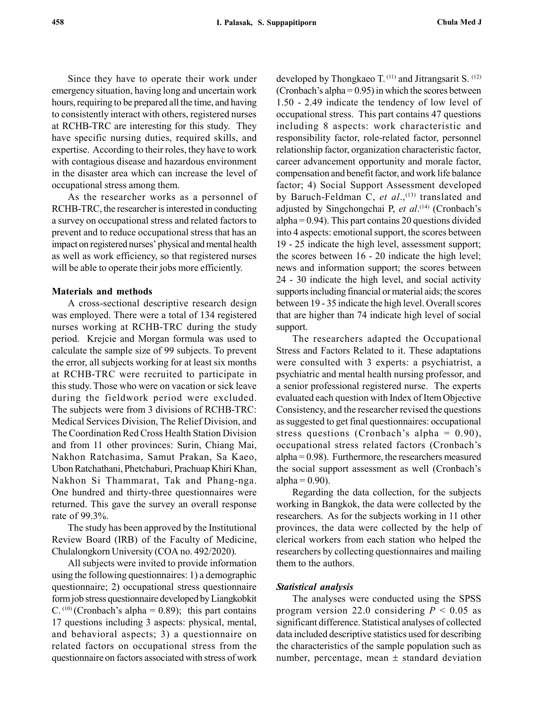Since they have to operate their work under emergency situation, having long and uncertain work hours, requiring to be prepared all the time, and having to consistently interact with others, registered nurses at RCHB-TRC are interesting for this study. They have specific nursing duties, required skills, and expertise. According to their roles, they have to work with contagious disease and hazardous environment in the disaster area which can increase the level of occupational stress among them.

As the researcher works as a personnel of RCHB-TRC, the researcher is interested in conducting a survey on occupational stress and related factors to prevent and to reduce occupational stress that has an impact on registered nurses' physical and mental health as well as work efficiency, so that registered nurses will be able to operate their jobs more efficiently.

## Materials and methods

A cross-sectional descriptive research design was employed. There were a total of 134 registered nurses working at RCHB-TRC during the study period. Krejcie and Morgan formula was used to calculate the sample size of 99 subjects. To prevent the error, all subjects working for at least six months at RCHB-TRC were recruited to participate in this study. Those who were on vacation or sick leave during the fieldwork period were excluded. The subjects were from 3 divisions of RCHB-TRC: Medical Services Division, The Relief Division, and The Coordination Red Cross Health Station Division and from 11 other provinces: Surin, Chiang Mai, Nakhon Ratchasima, Samut Prakan, Sa Kaeo, Ubon Ratchathani, Phetchaburi, Prachuap Khiri Khan, Nakhon Si Thammarat, Tak and Phang-nga. One hundred and thirty-three questionnaires were returned. This gave the survey an overall response rate of 99.3%.

The study has been approved by the Institutional Review Board (IRB) of the Faculty of Medicine, Chulalongkorn University (COA no. 492/2020).

All subjects were invited to provide information using the following questionnaires: 1) a demographic questionnaire; 2) occupational stress questionnaire form job stress questionnaire developed by Liangkobkit C.  $(10)$  (Cronbach's alpha = 0.89); this part contains 17 questions including 3 aspects: physical, mental, and behavioral aspects; 3) a questionnaire on related factors on occupational stress from the questionnaire on factors associated with stress of work developed by Thongkaeo T. <sup>(11)</sup> and Jitrangsarit S. <sup>(12)</sup> (Cronbach's alpha =  $0.95$ ) in which the scores between 1.50 - 2.49 indicate the tendency of low level of occupational stress. This part contains 47 questions including 8 aspects: work characteristic and responsibility factor, role-related factor, personnel relationship factor, organization characteristic factor, career advancement opportunity and morale factor, compensation and benefit factor, and work life balance factor; 4) Social Support Assessment developed by Baruch-Feldman C, et al.,<sup>(13)</sup> translated and adjusted by Singchongchai P, et al.<sup>(14)</sup> (Cronbach's  $alpha = 0.94$ . This part contains 20 questions divided into 4 aspects: emotional support, the scores between 19 - 25 indicate the high level, assessment support; the scores between 16 - 20 indicate the high level; news and information support; the scores between 24 - 30 indicate the high level, and social activity supports including financial or material aids; the scores between 19 - 35 indicate the high level. Overall scores that are higher than 74 indicate high level of social support.

The researchers adapted the Occupational Stress and Factors Related to it. These adaptations were consulted with 3 experts: a psychiatrist, a psychiatric and mental health nursing professor, and a senior professional registered nurse. The experts evaluated each question with Index of Item Objective Consistency, and the researcher revised the questions as suggested to get final questionnaires: occupational stress questions (Cronbach's alpha = 0.90), occupational stress related factors (Cronbach's alpha = 0.98). Furthermore, the researchers measured the social support assessment as well (Cronbach's alpha  $= 0.90$ ).

Regarding the data collection, for the subjects working in Bangkok, the data were collected by the researchers. As for the subjects working in 11 other provinces, the data were collected by the help of clerical workers from each station who helped the researchers by collecting questionnaires and mailing them to the authors.

#### Statistical analysis

The analyses were conducted using the SPSS program version 22.0 considering  $P < 0.05$  as significant difference. Statistical analyses of collected data included descriptive statistics used for describing the characteristics of the sample population such as number, percentage, mean  $\pm$  standard deviation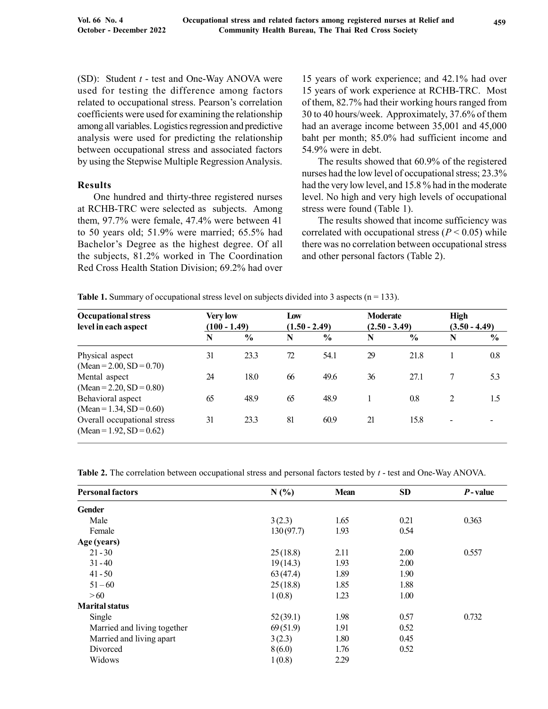(SD): Student  $t$  - test and One-Way ANOVA were used for testing the difference among factors related to occupational stress. Pearson's correlation coefficients were used for examining the relationship among all variables. Logistics regression and predictive analysis were used for predicting the relationship between occupational stress and associated factors by using the Stepwise Multiple Regression Analysis.

# Results

One hundred and thirty-three registered nurses at RCHB-TRC were selected as subjects. Among them, 97.7% were female, 47.4% were between 41 to 50 years old; 51.9% were married; 65.5% had Bachelor's Degree as the highest degree. Of all the subjects, 81.2% worked in The Coordination Red Cross Health Station Division; 69.2% had over 15 years of work experience; and 42.1% had over 15 years of work experience at RCHB-TRC. Most of them, 82.7% had their working hours ranged from 30 to 40 hours/week. Approximately, 37.6% of them had an average income between 35,001 and 45,000 baht per month; 85.0% had sufficient income and 54.9% were in debt.

The results showed that 60.9% of the registered nurses had the low level of occupational stress; 23.3% had the very low level, and 15.8 % had in the moderate level. No high and very high levels of occupational stress were found (Table 1).

The results showed that income sufficiency was correlated with occupational stress ( $P < 0.05$ ) while there was no correlation between occupational stress and other personal factors (Table 2).

**Table 1.** Summary of occupational stress level on subjects divided into 3 aspects ( $n = 133$ ).

| <b>Occupational stress</b><br>level in each aspect        | <b>Very low</b><br>$(100 - 1.49)$ |               | Low<br>$(1.50 - 2.49)$ |               |    | <b>Moderate</b><br>$(2.50 - 3.49)$ |   | <b>High</b><br>$(3.50 - 4.49)$ |  |
|-----------------------------------------------------------|-----------------------------------|---------------|------------------------|---------------|----|------------------------------------|---|--------------------------------|--|
|                                                           | N                                 | $\frac{6}{6}$ | N                      | $\frac{6}{6}$ | N  | $\frac{6}{6}$                      | N | $\frac{6}{6}$                  |  |
| Physical aspect<br>$(Mean = 2.00, SD = 0.70)$             | 31                                | 23.3          | 72                     | 54.1          | 29 | 21.8                               |   | 0.8                            |  |
| Mental aspect<br>$(Mean = 2.20, SD = 0.80)$               | 24                                | 18.0          | 66                     | 49.6          | 36 | 27.1                               | 7 | 5.3                            |  |
| Behavioral aspect<br>$(Mean = 1.34, SD = 0.60)$           | 65                                | 48.9          | 65                     | 48.9          |    | 0.8                                | 2 | 1.5                            |  |
| Overall occupational stress<br>$(Mean = 1.92, SD = 0.62)$ | 31                                | 23.3          | 81                     | 60.9          | 21 | 15.8                               | - |                                |  |

Table 2. The correlation between occupational stress and personal factors tested by t - test and One-Way ANOVA.

| <b>Personal factors</b>     | N(%       | <b>Mean</b> | <b>SD</b> | $P$ -value |
|-----------------------------|-----------|-------------|-----------|------------|
| <b>Gender</b>               |           |             |           |            |
| Male                        | 3(2.3)    | 1.65        | 0.21      | 0.363      |
| Female                      | 130(97.7) | 1.93        | 0.54      |            |
| Age (years)                 |           |             |           |            |
| $21 - 30$                   | 25(18.8)  | 2.11        | 2.00      | 0.557      |
| $31 - 40$                   | 19(14.3)  | 1.93        | 2.00      |            |
| $41 - 50$                   | 63(47.4)  | 1.89        | 1.90      |            |
| $51 - 60$                   | 25(18.8)  | 1.85        | 1.88      |            |
| > 60                        | 1(0.8)    | 1.23        | 1.00      |            |
| <b>Marital status</b>       |           |             |           |            |
| Single                      | 52(39.1)  | 1.98        | 0.57      | 0.732      |
| Married and living together | 69(51.9)  | 1.91        | 0.52      |            |
| Married and living apart    | 3(2.3)    | 1.80        | 0.45      |            |
| Divorced                    | 8(6.0)    | 1.76        | 0.52      |            |
| Widows                      | 1(0.8)    | 2.29        |           |            |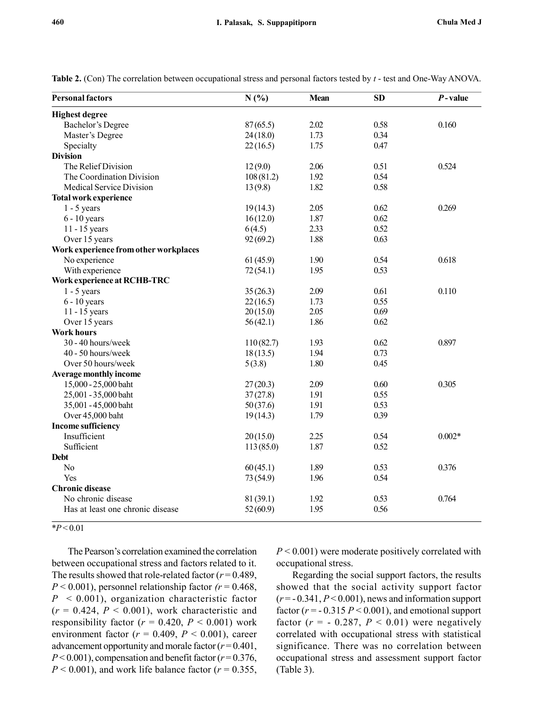| <b>Personal factors</b>               | N(%)      | <b>Mean</b> | <b>SD</b> | $P$ -value |
|---------------------------------------|-----------|-------------|-----------|------------|
| <b>Highest degree</b>                 |           |             |           |            |
| <b>Bachelor's Degree</b>              | 87(65.5)  | 2.02        | 0.58      | 0.160      |
| Master's Degree                       | 24(18.0)  | 1.73        | 0.34      |            |
| Specialty                             | 22(16.5)  | 1.75        | 0.47      |            |
| <b>Division</b>                       |           |             |           |            |
| The Relief Division                   | 12(9.0)   | 2.06        | 0.51      | 0.524      |
| The Coordination Division             | 108(81.2) | 1.92        | 0.54      |            |
| Medical Service Division              | 13(9.8)   | 1.82        | 0.58      |            |
| Total work experience                 |           |             |           |            |
| $1 - 5$ years                         | 19(14.3)  | 2.05        | 0.62      | 0.269      |
| $6 - 10$ years                        | 16(12.0)  | 1.87        | 0.62      |            |
| 11 - 15 years                         | 6(4.5)    | 2.33        | 0.52      |            |
| Over 15 years                         | 92(69.2)  | 1.88        | 0.63      |            |
| Work experience from other workplaces |           |             |           |            |
| No experience                         | 61(45.9)  | 1.90        | 0.54      | 0.618      |
| With experience                       | 72(54.1)  | 1.95        | 0.53      |            |
| Work experience at RCHB-TRC           |           |             |           |            |
| $1 - 5$ years                         | 35(26.3)  | 2.09        | 0.61      | 0.110      |
| $6 - 10$ years                        | 22(16.5)  | 1.73        | 0.55      |            |
| 11 - 15 years                         | 20(15.0)  | 2.05        | 0.69      |            |
| Over 15 years                         | 56(42.1)  | 1.86        | 0.62      |            |
| <b>Work hours</b>                     |           |             |           |            |
| 30 - 40 hours/week                    | 110(82.7) | 1.93        | 0.62      | 0.897      |
| 40 - 50 hours/week                    | 18(13.5)  | 1.94        | 0.73      |            |
| Over 50 hours/week                    | 5(3.8)    | 1.80        | 0.45      |            |
| <b>Average monthly income</b>         |           |             |           |            |
| 15,000 - 25,000 baht                  | 27(20.3)  | 2.09        | 0.60      | 0.305      |
| 25,001 - 35,000 baht                  | 37(27.8)  | 1.91        | 0.55      |            |
| 35,001 - 45,000 baht                  | 50(37.6)  | 1.91        | 0.53      |            |
| Over 45,000 baht                      | 19(14.3)  | 1.79        | 0.39      |            |
| <b>Income sufficiency</b>             |           |             |           |            |
| Insufficient                          | 20(15.0)  | 2.25        | 0.54      | $0.002*$   |
| Sufficient                            | 113(85.0) | 1.87        | 0.52      |            |
| <b>Debt</b>                           |           |             |           |            |
| No                                    | 60(45.1)  | 1.89        | 0.53      | 0.376      |
| Yes                                   | 73(54.9)  | 1.96        | 0.54      |            |
| <b>Chronic disease</b>                |           |             |           |            |
| No chronic disease                    | 81(39.1)  | 1.92        | 0.53      | 0.764      |
| Has at least one chronic disease      | 52(60.9)  | 1.95        | 0.56      |            |
|                                       |           |             |           |            |

Table 2. (Con) The correlation between occupational stress and personal factors tested by t - test and One-Way ANOVA.

 $*P < 0.01$ 

The Pearson's correlation examined the correlation between occupational stress and factors related to it. The results showed that role-related factor ( $r = 0.489$ ,  $P < 0.001$ ), personnel relationship factor ( $r = 0.468$ ,  $P < 0.001$ ), organization characteristic factor  $(r = 0.424, P < 0.001)$ , work characteristic and responsibility factor ( $r = 0.420$ ,  $P < 0.001$ ) work environment factor ( $r = 0.409$ ,  $P < 0.001$ ), career advancement opportunity and morale factor  $(r=0.401,$  $P < 0.001$ ), compensation and benefit factor ( $r = 0.376$ ,  $P < 0.001$ ), and work life balance factor ( $r = 0.355$ ,  $P < 0.001$ ) were moderate positively correlated with occupational stress.

Regarding the social support factors, the results showed that the social activity support factor  $(r = -0.341, P \le 0.001)$ , news and information support factor ( $r = -0.315 P < 0.001$ ), and emotional support factor ( $r = -0.287$ ,  $P < 0.01$ ) were negatively correlated with occupational stress with statistical significance. There was no correlation between occupational stress and assessment support factor (Table 3).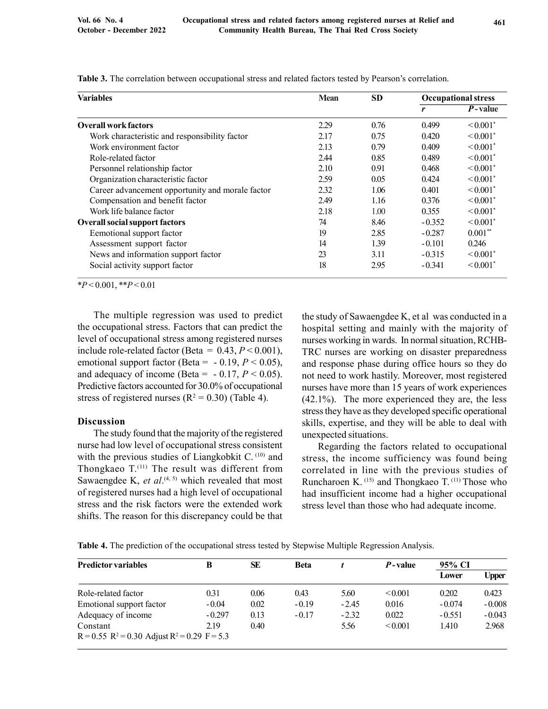| <b>Variables</b>                                 | <b>Mean</b> | <b>SD</b> | <b>Occupational stress</b> |                           |  |
|--------------------------------------------------|-------------|-----------|----------------------------|---------------------------|--|
|                                                  |             |           | r                          | $P$ -value                |  |
| <b>Overall work factors</b>                      | 2.29        | 0.76      | 0.499                      | $\leq 0.001$ <sup>*</sup> |  |
| Work characteristic and responsibility factor    | 2.17        | 0.75      | 0.420                      | $\leq 0.001$ <sup>*</sup> |  |
| Work environment factor                          | 2.13        | 0.79      | 0.409                      | $< 0.001$ <sup>*</sup>    |  |
| Role-related factor                              | 2.44        | 0.85      | 0.489                      | $\leq 0.001$ <sup>*</sup> |  |
| Personnel relationship factor                    | 2.10        | 0.91      | 0.468                      | $\leq 0.001$ <sup>*</sup> |  |
| Organization characteristic factor               | 2.59        | 0.05      | 0.424                      | $\leq 0.001$ <sup>*</sup> |  |
| Career advancement opportunity and morale factor | 2.32        | 1.06      | 0.401                      | $\leq 0.001$ <sup>*</sup> |  |
| Compensation and benefit factor                  | 2.49        | 1.16      | 0.376                      | $\leq 0.001$ <sup>*</sup> |  |
| Work life balance factor                         | 2.18        | 1.00      | 0.355                      | $\leq 0.001$ <sup>*</sup> |  |
| <b>Overall social support factors</b>            | 74          | 8.46      | $-0.352$                   | $\leq 0.001$ <sup>*</sup> |  |
| Eemotional support factor                        | 19          | 2.85      | $-0.287$                   | $0.001**$                 |  |
| Assessment support factor                        | 14          | 1.39      | $-0.101$                   | 0.246                     |  |
| News and information support factor              | 23          | 3.11      | $-0.315$                   | $\leq 0.001$ <sup>*</sup> |  |
| Social activity support factor                   | 18          | 2.95      | $-0.341$                   | $\leq 0.001$ <sup>*</sup> |  |

Table 3. The correlation between occupational stress and related factors tested by Pearson's correlation.

 $*P < 0.001$ ,  $*P < 0.01$ 

The multiple regression was used to predict the occupational stress. Factors that can predict the level of occupational stress among registered nurses include role-related factor (Beta =  $0.43, P \le 0.001$ ), emotional support factor (Beta =  $-0.19$ ,  $P < 0.05$ ), and adequacy of income (Beta =  $-0.17, P < 0.05$ ). Predictive factors accounted for 30.0% of occupational stress of registered nurses  $(R^2 = 0.30)$  (Table 4).

#### Discussion

The study found that the majority of the registered nurse had low level of occupational stress consistent with the previous studies of Liangkobkit C. (10) and Thongkaeo T.<sup>(11)</sup> The result was different from Sawaengdee K, et  $al^{(4, 5)}$  which revealed that most of registered nurses had a high level of occupational stress and the risk factors were the extended work shifts. The reason for this discrepancy could be that

the study of Sawaengdee K, et al was conducted in a hospital setting and mainly with the majority of nurses working in wards. In normal situation, RCHB-TRC nurses are working on disaster preparedness and response phase during office hours so they do not need to work hastily. Moreover, most registered nurses have more than 15 years of work experiences (42.1%). The more experienced they are, the less stress they have as they developed specific operational skills, expertise, and they will be able to deal with unexpected situations.

Regarding the factors related to occupational stress, the income sufficiency was found being correlated in line with the previous studies of Runcharoen K. (15) and Thongkaeo T. (11) Those who had insufficient income had a higher occupational stress level than those who had adequate income.

Table 4. The prediction of the occupational stress tested by Stepwise Multiple Regression Analysis.

| <b>Predictor variables</b>                          | B        | SE   | <b>Beta</b> |         | <i>P</i> -value | 95% CI   |          |
|-----------------------------------------------------|----------|------|-------------|---------|-----------------|----------|----------|
|                                                     |          |      |             |         |                 | Lower    | Upper    |
| Role-related factor                                 | 0.31     | 0.06 | 0.43        | 5.60    | < 0.001         | 0.202    | 0.423    |
| Emotional support factor                            | $-0.04$  | 0.02 | $-0.19$     | $-2.45$ | 0.016           | $-0.074$ | $-0.008$ |
| Adequacy of income                                  | $-0.297$ | 0.13 | $-0.17$     | $-2.32$ | 0.022           | $-0.551$ | $-0.043$ |
| Constant                                            | 2.19     | 0.40 |             | 5.56    | < 0.001         | 1.410    | 2.968    |
| $R = 0.55$ $R^2 = 0.30$ Adjust $R^2 = 0.29$ F = 5.3 |          |      |             |         |                 |          |          |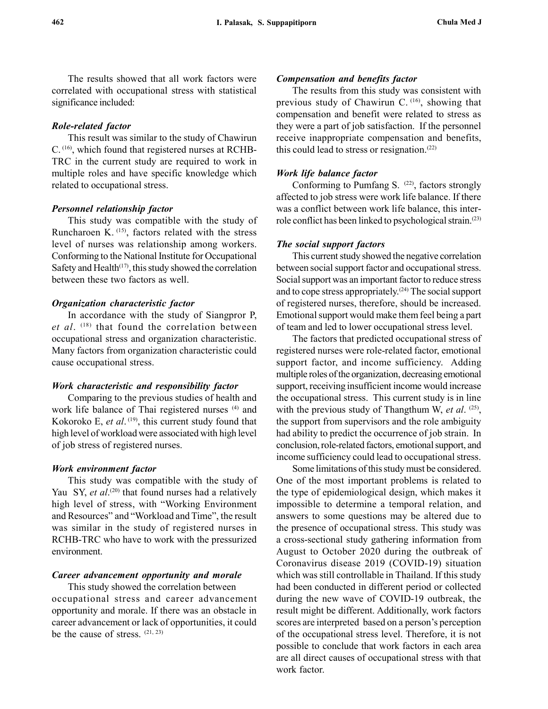The results showed that all work factors were correlated with occupational stress with statistical significance included:

### Role-related factor

This result was similar to the study of Chawirun C. (16), which found that registered nurses at RCHB-TRC in the current study are required to work in multiple roles and have specific knowledge which related to occupational stress.

#### Personnel relationship factor

This study was compatible with the study of Runcharoen K. (15), factors related with the stress level of nurses was relationship among workers. Conforming to the National Institute for Occupational Safety and Health $(17)$ , this study showed the correlation between these two factors as well.

#### Organization characteristic factor

In accordance with the study of Siangpror P, et al.  $(18)$  that found the correlation between occupational stress and organization characteristic. Many factors from organization characteristic could cause occupational stress.

#### Work characteristic and responsibility factor

Comparing to the previous studies of health and work life balance of Thai registered nurses (4) and Kokoroko E, et al.<sup>(19)</sup>, this current study found that high level of workload were associated with high level of job stress of registered nurses.

#### Work environment factor

This study was compatible with the study of Yau SY, et al.<sup>(20)</sup> that found nurses had a relatively high level of stress, with "Working Environment and Resources" and "Workload and Time", the result was similar in the study of registered nurses in RCHB-TRC who have to work with the pressurized environment.

#### Career advancement opportunity and morale

This study showed the correlation between occupational stress and career advancement opportunity and morale. If there was an obstacle in career advancement or lack of opportunities, it could be the cause of stress. (21, 23)

#### Compensation and benefits factor

The results from this study was consistent with previous study of Chawirun C.  $(16)$ , showing that compensation and benefit were related to stress as they were a part of job satisfaction. If the personnel receive inappropriate compensation and benefits, this could lead to stress or resignation.<sup> $(22)$ </sup>

#### Work life balance factor

Conforming to Pumfang S. (22), factors strongly affected to job stress were work life balance. If there was a conflict between work life balance, this interrole conflict has been linked to psychological strain.(23)

#### The social support factors

This current study showed the negative correlation between social support factor and occupational stress. Social support was an important factor to reduce stress and to cope stress appropriately.(24) The social support of registered nurses, therefore, should be increased. Emotional support would make them feel being a part of team and led to lower occupational stress level.

The factors that predicted occupational stress of registered nurses were role-related factor, emotional support factor, and income sufficiency. Adding multiple roles of the organization, decreasing emotional support, receiving insufficient income would increase the occupational stress. This current study is in line with the previous study of Thangthum W, et al.  $(25)$ , the support from supervisors and the role ambiguity had ability to predict the occurrence of job strain. In conclusion, role-related factors, emotional support, and income sufficiency could lead to occupational stress.

Some limitations of this study must be considered. One of the most important problems is related to the type of epidemiological design, which makes it impossible to determine a temporal relation, and answers to some questions may be altered due to the presence of occupational stress. This study was a cross-sectional study gathering information from August to October 2020 during the outbreak of Coronavirus disease 2019 (COVID-19) situation which was still controllable in Thailand. If this study had been conducted in different period or collected during the new wave of COVID-19 outbreak, the result might be different. Additionally, work factors scores are interpreted based on a person's perception of the occupational stress level. Therefore, it is not possible to conclude that work factors in each area are all direct causes of occupational stress with that work factor.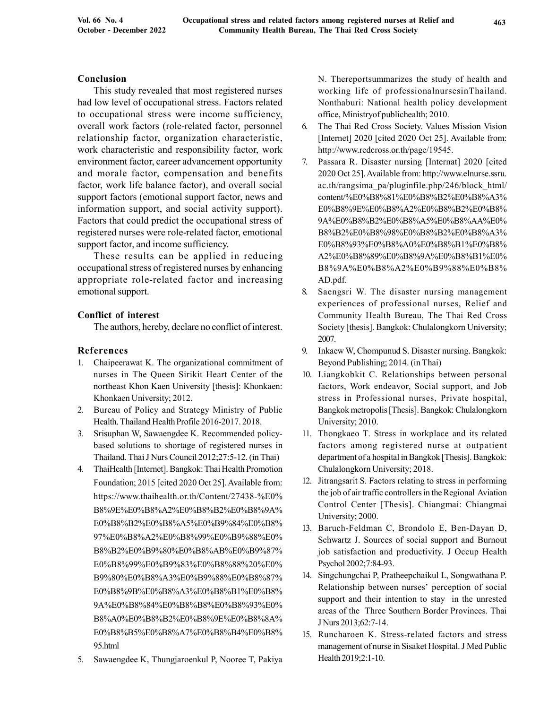## Conclusion

This study revealed that most registered nurses had low level of occupational stress. Factors related to occupational stress were income sufficiency, overall work factors (role-related factor, personnel relationship factor, organization characteristic, work characteristic and responsibility factor, work environment factor, career advancement opportunity and morale factor, compensation and benefits factor, work life balance factor), and overall social support factors (emotional support factor, news and information support, and social activity support). Factors that could predict the occupational stress of registered nurses were role-related factor, emotional support factor, and income sufficiency.

These results can be applied in reducing occupational stress of registered nurses by enhancing appropriate role-related factor and increasing emotional support.

# Conflict of interest

The authors, hereby, declare no conflict of interest.

# References

- 1. Chaipeerawat K. The organizational commitment of nurses in The Queen Sirikit Heart Center of the northeast Khon Kaen University [thesis]: Khonkaen: Khonkaen University; 2012.
- 2. Bureau of Policy and Strategy Ministry of Public Health. Thailand Health Profile 2016-2017. 2018.
- 3. Srisuphan W, Sawaengdee K. Recommended policybased solutions to shortage of registered nurses in Thailand. Thai J Nurs Council 2012;27:5-12. (in Thai)
- 4. ThaiHealth [Internet]. Bangkok: Thai Health Promotion Foundation; 2015 [cited 2020 Oct 25]. Available from: https://www.thaihealth.or.th/Content/27438-%E0% B8%9E%E0%B8%A2%E0%B8%B2%E0%B8%9A% E0%B8%B2%E0%B8%A5%E0%B9%84%E0%B8% 97%E0%B8%A2%E0%B8%99%E0%B9%88%E0% B8%B2%E0%B9%80%E0%B8%AB%E0%B9%87% E0%B8%99%E0%B9%83%E0%B8%88%20%E0% B9%80%E0%B8%A3%E0%B9%88%E0%B8%87% E0%B8%9B%E0%B8%A3%E0%B8%B1%E0%B8% 9A%E0%B8%84%E0%B8%B8%E0%B8%93%E0% B8%A0%E0%B8%B2%E0%B8%9E%E0%B8%8A% E0%B8%B5%E0%B8%A7%E0%B8%B4%E0%B8% 95.html
- 5. Sawaengdee K, Thungjaroenkul P, Nooree T, Pakiya

N. Thereportsummarizes the study of health and working life of professionalnursesinThailand. Nonthaburi: National health policy development office, Ministryof publichealth; 2010.

- 6. The Thai Red Cross Society. Values Mission Vision [Internet] 2020 [cited 2020 Oct 25]. Available from: http://www.redcross.or.th/page/19545.
- 7. Passara R. Disaster nursing [Internat] 2020 [cited 2020 Oct 25]. Available from: http://www.elnurse.ssru. ac.th/rangsima\_pa/pluginfile.php/246/block\_html/ content/%E0%B8%81%E0%B8%B2%E0%B8%A3% E0%B8%9E%E0%B8%A2%E0%B8%B2%E0%B8% 9A%E0%B8%B2%E0%B8%A5%E0%B8%AA%E0% B8%B2%E0%B8%98%E0%B8%B2%E0%B8%A3% E0%B8%93%E0%B8%A0%E0%B8%B1%E0%B8% A2%E0%B8%89%E0%B8%9A%E0%B8%B1%E0% B8%9A%E0%B8%A2%E0%B9%88%E0%B8% AD.pdf.
- 8. Saengsri W. The disaster nursing management experiences of professional nurses, Relief and Community Health Bureau, The Thai Red Cross Society [thesis]. Bangkok: Chulalongkorn University; 2007.
- 9. Inkaew W, Chompunud S. Disaster nursing. Bangkok: Beyond Publishing; 2014. (in Thai)
- 10. Liangkobkit C. Relationships between personal factors, Work endeavor, Social support, and Job stress in Professional nurses, Private hospital, Bangkok metropolis [Thesis]. Bangkok: Chulalongkorn University; 2010.
- 11. Thongkaeo T. Stress in workplace and its related factors among registered nurse at outpatient department of a hospital in Bangkok [Thesis]. Bangkok: Chulalongkorn University; 2018.
- 12. Jitrangsarit S. Factors relating to stress in performing the job of air traffic controllers in the Regional Aviation Control Center [Thesis]. Chiangmai: Chiangmai University; 2000.
- 13. Baruch-Feldman C, Brondolo E, Ben-Dayan D, Schwartz J. Sources of social support and Burnout job satisfaction and productivity. J Occup Health Psychol 2002;7:84-93.
- 14. Singchungchai P, Pratheepchaikul L, Songwathana P. Relationship between nurses' perception of social support and their intention to stay in the unrested areas of the Three Southern Border Provinces. Thai J Nurs 2013;62:7-14.
- 15. Runcharoen K. Stress-related factors and stress management of nurse in Sisaket Hospital. J Med Public Health 2019;2:1-10.